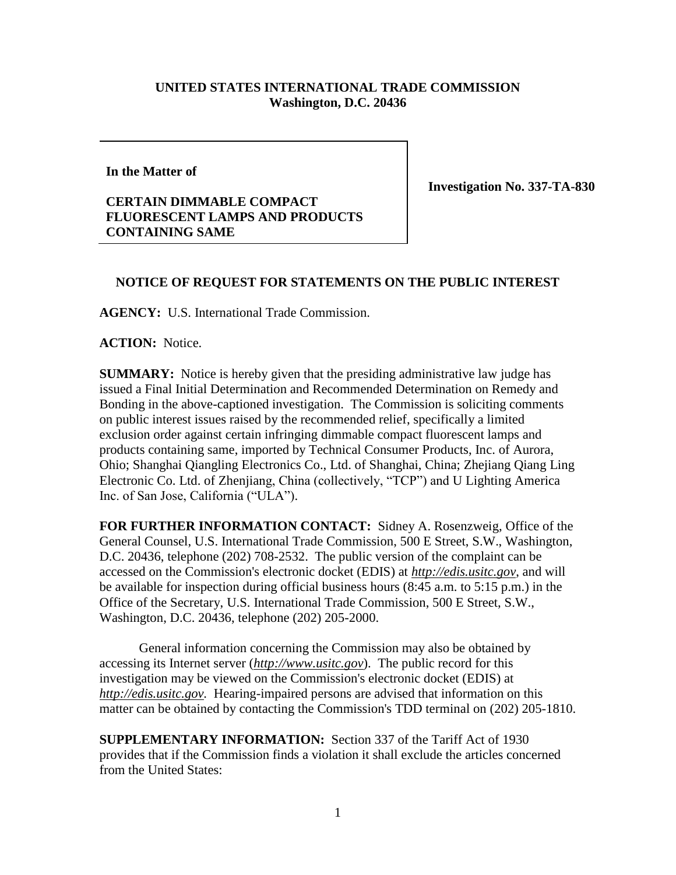## **UNITED STATES INTERNATIONAL TRADE COMMISSION Washington, D.C. 20436**

## **In the Matter of**

## **CERTAIN DIMMABLE COMPACT FLUORESCENT LAMPS AND PRODUCTS CONTAINING SAME**

**Investigation No. 337-TA-830**

## **NOTICE OF REQUEST FOR STATEMENTS ON THE PUBLIC INTEREST**

**AGENCY:** U.S. International Trade Commission.

**ACTION:** Notice.

**SUMMARY:** Notice is hereby given that the presiding administrative law judge has issued a Final Initial Determination and Recommended Determination on Remedy and Bonding in the above-captioned investigation. The Commission is soliciting comments on public interest issues raised by the recommended relief, specifically a limited exclusion order against certain infringing dimmable compact fluorescent lamps and products containing same, imported by Technical Consumer Products, Inc. of Aurora, Ohio; Shanghai Qiangling Electronics Co., Ltd. of Shanghai, China; Zhejiang Qiang Ling Electronic Co. Ltd. of Zhenjiang, China (collectively, "TCP") and U Lighting America Inc. of San Jose, California ("ULA").

**FOR FURTHER INFORMATION CONTACT:** Sidney A. Rosenzweig, Office of the General Counsel, U.S. International Trade Commission, 500 E Street, S.W., Washington, D.C. 20436, telephone (202) 708-2532. The public version of the complaint can be accessed on the Commission's electronic docket (EDIS) at *http://edis.usitc.gov*, and will be available for inspection during official business hours (8:45 a.m. to 5:15 p.m.) in the Office of the Secretary, U.S. International Trade Commission, 500 E Street, S.W., Washington, D.C. 20436, telephone (202) 205-2000.

General information concerning the Commission may also be obtained by accessing its Internet server (*http://www.usitc.gov*). The public record for this investigation may be viewed on the Commission's electronic docket (EDIS) at *http://edis.usitc.gov.* Hearing-impaired persons are advised that information on this matter can be obtained by contacting the Commission's TDD terminal on (202) 205-1810.

**SUPPLEMENTARY INFORMATION:** Section 337 of the Tariff Act of 1930 provides that if the Commission finds a violation it shall exclude the articles concerned from the United States: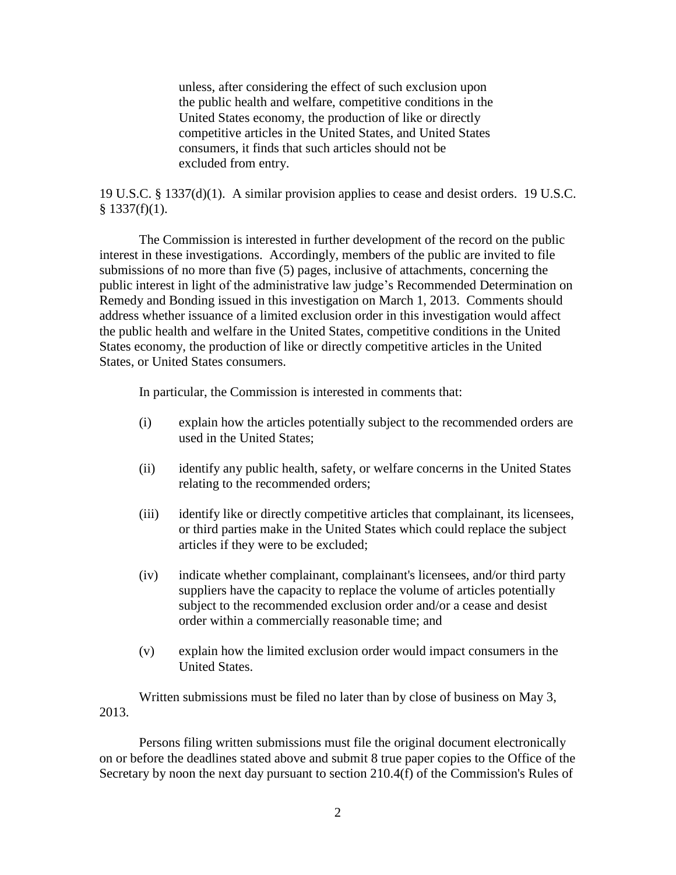unless, after considering the effect of such exclusion upon the public health and welfare, competitive conditions in the United States economy, the production of like or directly competitive articles in the United States, and United States consumers, it finds that such articles should not be excluded from entry.

19 U.S.C. § 1337(d)(1). A similar provision applies to cease and desist orders. 19 U.S.C.  $§$  1337(f)(1).

The Commission is interested in further development of the record on the public interest in these investigations. Accordingly, members of the public are invited to file submissions of no more than five (5) pages, inclusive of attachments, concerning the public interest in light of the administrative law judge's Recommended Determination on Remedy and Bonding issued in this investigation on March 1, 2013. Comments should address whether issuance of a limited exclusion order in this investigation would affect the public health and welfare in the United States, competitive conditions in the United States economy, the production of like or directly competitive articles in the United States, or United States consumers.

In particular, the Commission is interested in comments that:

- (i) explain how the articles potentially subject to the recommended orders are used in the United States;
- (ii) identify any public health, safety, or welfare concerns in the United States relating to the recommended orders;
- (iii) identify like or directly competitive articles that complainant, its licensees, or third parties make in the United States which could replace the subject articles if they were to be excluded;
- (iv) indicate whether complainant, complainant's licensees, and/or third party suppliers have the capacity to replace the volume of articles potentially subject to the recommended exclusion order and/or a cease and desist order within a commercially reasonable time; and
- (v) explain how the limited exclusion order would impact consumers in the United States.

Written submissions must be filed no later than by close of business on May 3, 2013.

Persons filing written submissions must file the original document electronically on or before the deadlines stated above and submit 8 true paper copies to the Office of the Secretary by noon the next day pursuant to section 210.4(f) of the Commission's Rules of